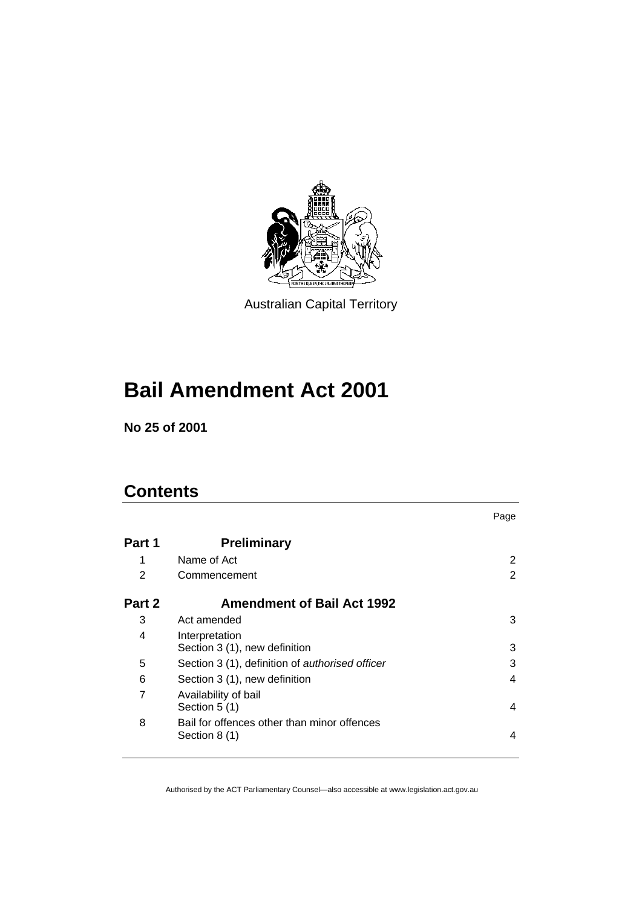

Australian Capital Territory

# **Bail Amendment Act 2001**

**No 25 of 2001** 

# **Contents**

|        |                                                              | Page |
|--------|--------------------------------------------------------------|------|
| Part 1 | <b>Preliminary</b>                                           |      |
| 1      | Name of Act                                                  | 2    |
| 2      | Commencement                                                 | 2    |
| Part 2 | <b>Amendment of Bail Act 1992</b>                            |      |
| 3      | Act amended                                                  | 3    |
| 4      | Interpretation<br>Section 3 (1), new definition              | 3    |
| 5      | Section 3 (1), definition of authorised officer              | 3    |
| 6      | Section 3 (1), new definition                                | 4    |
| 7      | Availability of bail<br>Section 5 (1)                        | 4    |
| 8      | Bail for offences other than minor offences<br>Section 8 (1) | 4    |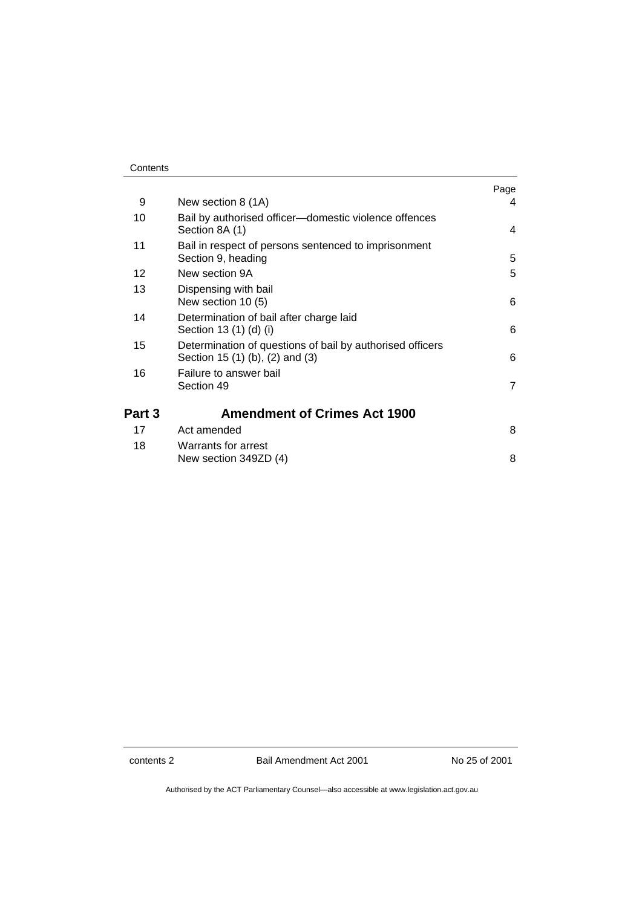#### **Contents**

|        |                                                                                              | Page |
|--------|----------------------------------------------------------------------------------------------|------|
| 9      | New section 8 (1A)                                                                           | 4    |
| 10     | Bail by authorised officer-domestic violence offences<br>Section 8A (1)                      | 4    |
| 11     | Bail in respect of persons sentenced to imprisonment<br>Section 9, heading                   | 5    |
| 12     | New section 9A                                                                               | 5    |
| 13     | Dispensing with bail<br>New section 10 (5)                                                   | 6    |
| 14     | Determination of bail after charge laid<br>Section 13 (1) (d) (i)                            | 6    |
| 15     | Determination of questions of bail by authorised officers<br>Section 15 (1) (b), (2) and (3) | 6    |
| 16     | Failure to answer bail<br>Section 49                                                         | 7    |
| Part 3 | <b>Amendment of Crimes Act 1900</b>                                                          |      |
| 17     | Act amended                                                                                  | 8    |
| 18     | Warrants for arrest<br>New section 349ZD (4)                                                 | 8    |

contents 2 Bail Amendment Act 2001 No 25 of 2001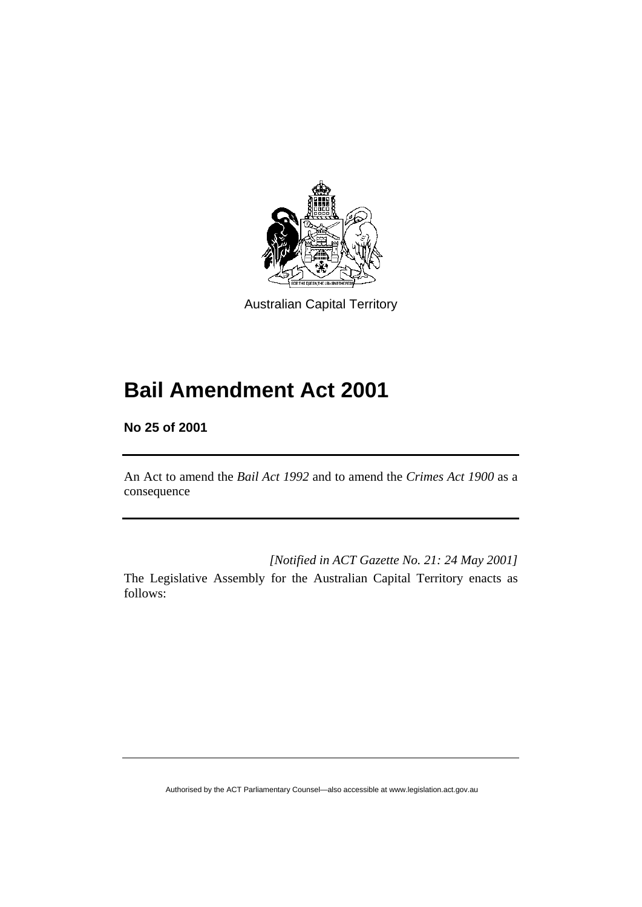

Australian Capital Territory

# **Bail Amendment Act 2001**

**No 25 of 2001** 

An Act to amend the *Bail Act 1992* and to amend the *Crimes Act 1900* as a consequence

*[Notified in ACT Gazette No. 21: 24 May 2001]* 

The Legislative Assembly for the Australian Capital Territory enacts as follows: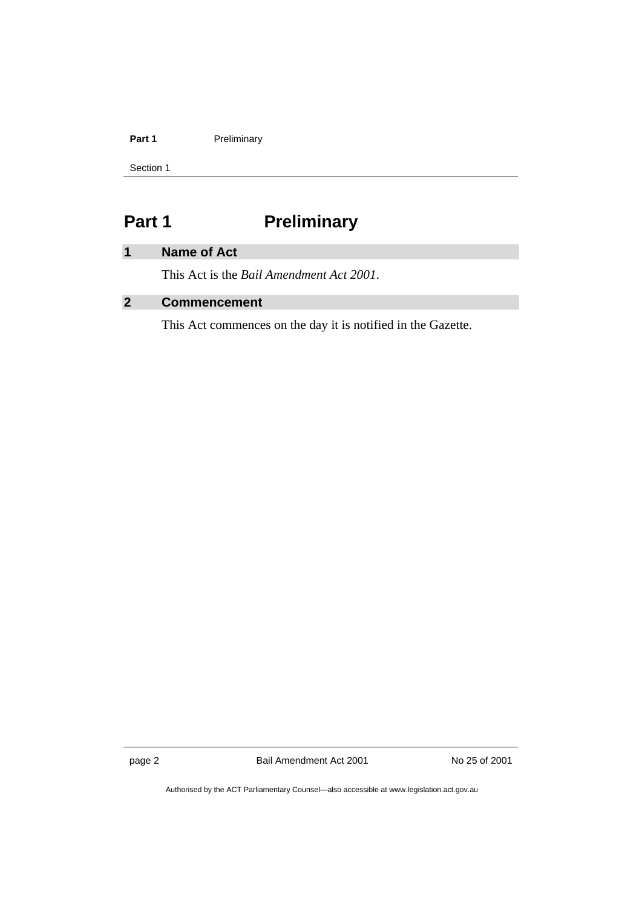#### Part 1 **Preliminary**

Section 1

# **Part 1** Preliminary

## **1 Name of Act**

This Act is the *Bail Amendment Act 2001*.

## **2 Commencement**

This Act commences on the day it is notified in the Gazette.

page 2 Bail Amendment Act 2001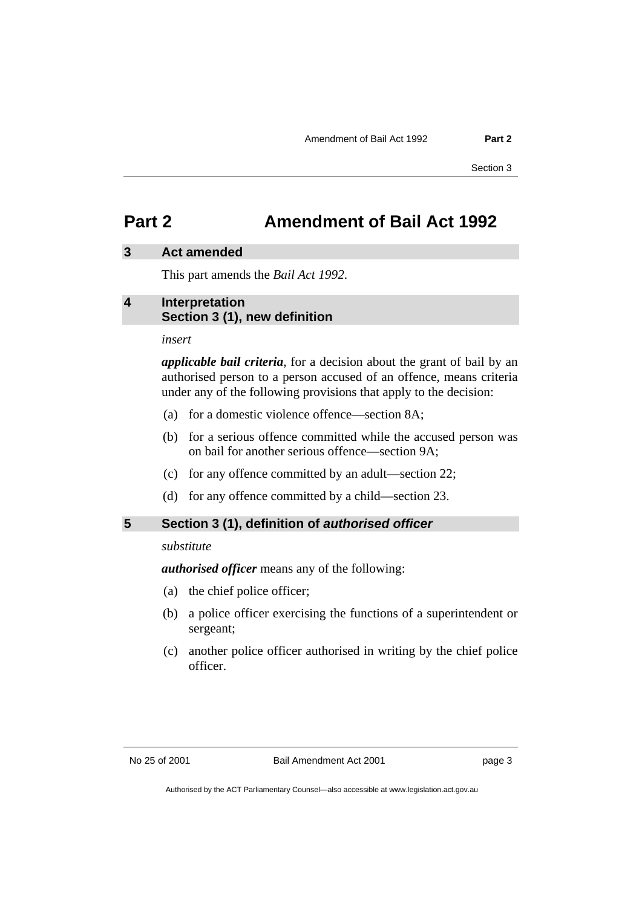## **Part 2 Amendment of Bail Act 1992**

#### **3 Act amended**

This part amends the *Bail Act 1992*.

#### **4 Interpretation Section 3 (1), new definition**

*insert* 

*applicable bail criteria*, for a decision about the grant of bail by an authorised person to a person accused of an offence, means criteria under any of the following provisions that apply to the decision:

- (a) for a domestic violence offence—section 8A;
- (b) for a serious offence committed while the accused person was on bail for another serious offence—section 9A;
- (c) for any offence committed by an adult—section 22;
- (d) for any offence committed by a child—section 23.

#### **5 Section 3 (1), definition of** *authorised officer*

*substitute* 

*authorised officer* means any of the following:

- (a) the chief police officer;
- (b) a police officer exercising the functions of a superintendent or sergeant;
- (c) another police officer authorised in writing by the chief police officer.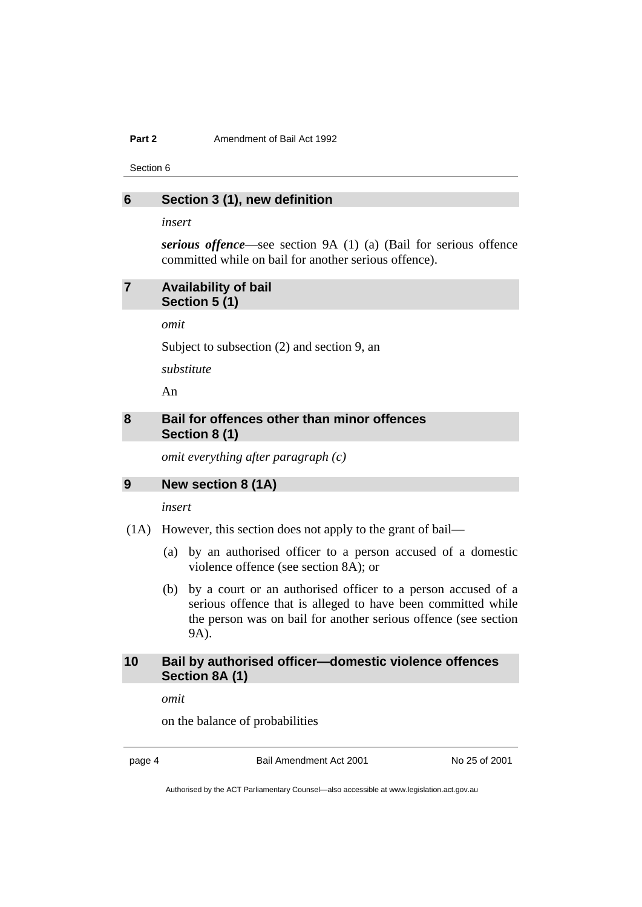#### **Part 2 Amendment of Bail Act 1992**

Section 6

#### **6 Section 3 (1), new definition**

*insert* 

*serious offence*—see section 9A (1) (a) (Bail for serious offence committed while on bail for another serious offence).

#### **7 Availability of bail Section 5 (1)**

*omit* 

Subject to subsection (2) and section 9, an

*substitute* 

An

### **8 Bail for offences other than minor offences Section 8 (1)**

*omit everything after paragraph (c)* 

### **9 New section 8 (1A)**

*insert* 

- (1A) However, this section does not apply to the grant of bail—
	- (a) by an authorised officer to a person accused of a domestic violence offence (see section 8A); or
	- (b) by a court or an authorised officer to a person accused of a serious offence that is alleged to have been committed while the person was on bail for another serious offence (see section 9A).

#### **10 Bail by authorised officer—domestic violence offences Section 8A (1)**

*omit* 

on the balance of probabilities

page 4 Bail Amendment Act 2001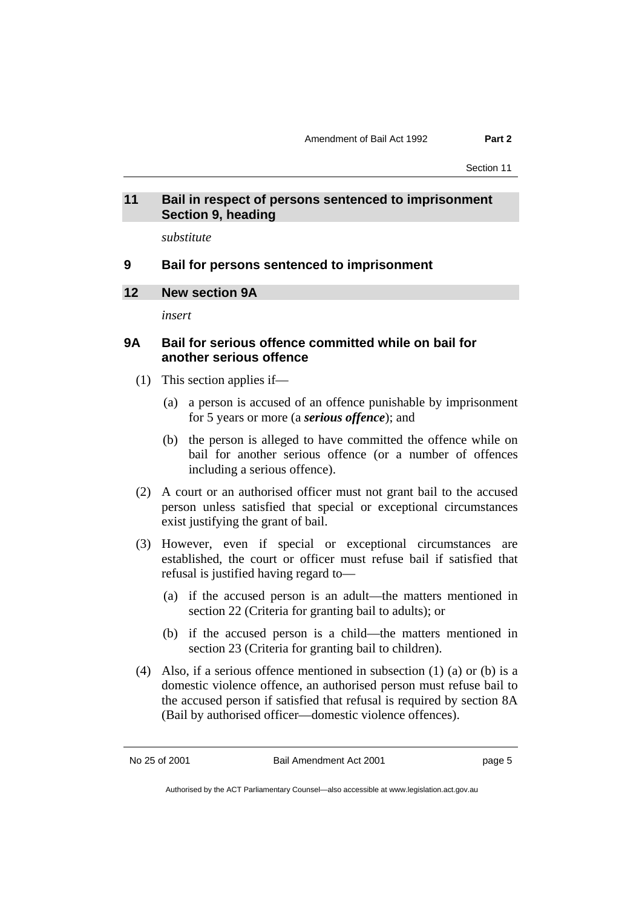Section 11

### **11 Bail in respect of persons sentenced to imprisonment Section 9, heading**

*substitute* 

#### **9 Bail for persons sentenced to imprisonment**

#### **12 New section 9A**

*insert* 

#### **9A Bail for serious offence committed while on bail for another serious offence**

- (1) This section applies if—
	- (a) a person is accused of an offence punishable by imprisonment for 5 years or more (a *serious offence*); and
	- (b) the person is alleged to have committed the offence while on bail for another serious offence (or a number of offences including a serious offence).
- (2) A court or an authorised officer must not grant bail to the accused person unless satisfied that special or exceptional circumstances exist justifying the grant of bail.
- (3) However, even if special or exceptional circumstances are established, the court or officer must refuse bail if satisfied that refusal is justified having regard to—
	- (a) if the accused person is an adult—the matters mentioned in section 22 (Criteria for granting bail to adults); or
	- (b) if the accused person is a child—the matters mentioned in section 23 (Criteria for granting bail to children).
- (4) Also, if a serious offence mentioned in subsection (1) (a) or (b) is a domestic violence offence, an authorised person must refuse bail to the accused person if satisfied that refusal is required by section 8A (Bail by authorised officer—domestic violence offences).

No 25 of 2001 **Bail Amendment Act 2001 page 5**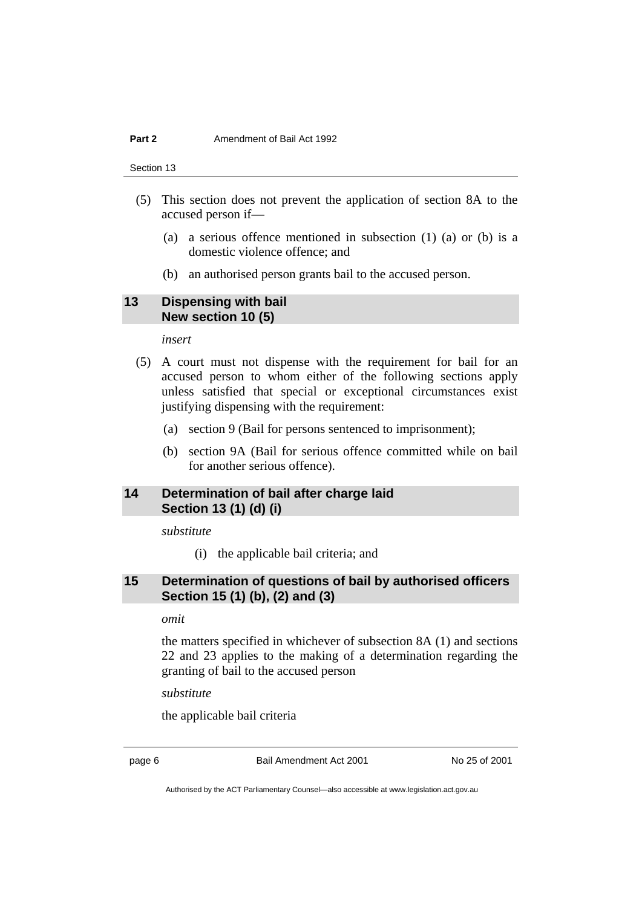#### **Part 2 Amendment of Bail Act 1992**

Section 13

- (5) This section does not prevent the application of section 8A to the accused person if—
	- (a) a serious offence mentioned in subsection (1) (a) or (b) is a domestic violence offence; and
	- (b) an authorised person grants bail to the accused person.

#### **13 Dispensing with bail New section 10 (5)**

*insert* 

- (5) A court must not dispense with the requirement for bail for an accused person to whom either of the following sections apply unless satisfied that special or exceptional circumstances exist justifying dispensing with the requirement:
	- (a) section 9 (Bail for persons sentenced to imprisonment);
	- (b) section 9A (Bail for serious offence committed while on bail for another serious offence).

#### **14 Determination of bail after charge laid Section 13 (1) (d) (i)**

*substitute* 

(i) the applicable bail criteria; and

### **15 Determination of questions of bail by authorised officers Section 15 (1) (b), (2) and (3)**

*omit* 

the matters specified in whichever of subsection 8A (1) and sections 22 and 23 applies to the making of a determination regarding the granting of bail to the accused person

*substitute* 

the applicable bail criteria

page 6 Bail Amendment Act 2001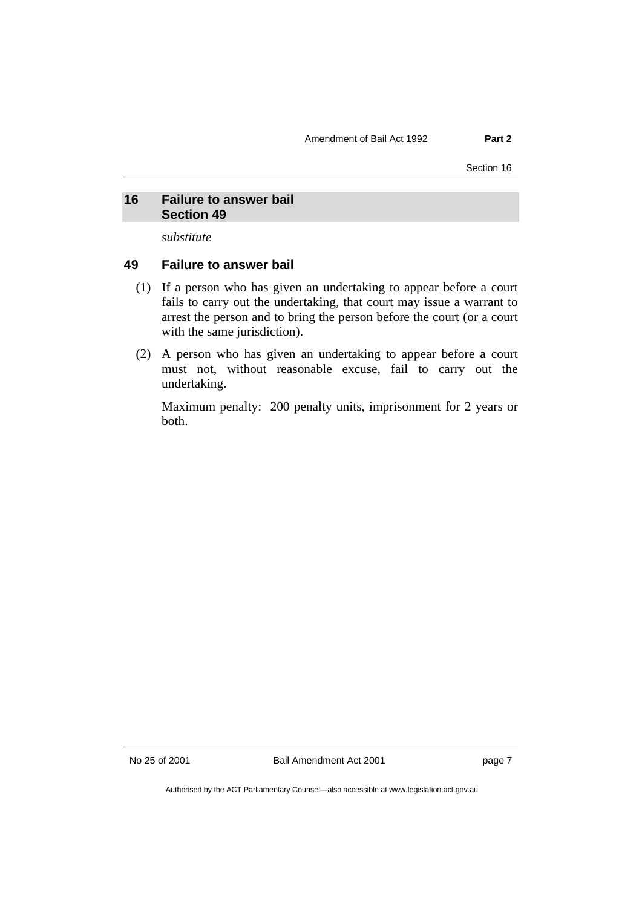#### **16 Failure to answer bail Section 49**

*substitute* 

#### **49 Failure to answer bail**

- (1) If a person who has given an undertaking to appear before a court fails to carry out the undertaking, that court may issue a warrant to arrest the person and to bring the person before the court (or a court with the same jurisdiction).
- (2) A person who has given an undertaking to appear before a court must not, without reasonable excuse, fail to carry out the undertaking.

Maximum penalty: 200 penalty units, imprisonment for 2 years or both.

No 25 of 2001 **Bail Amendment Act 2001 page 7**